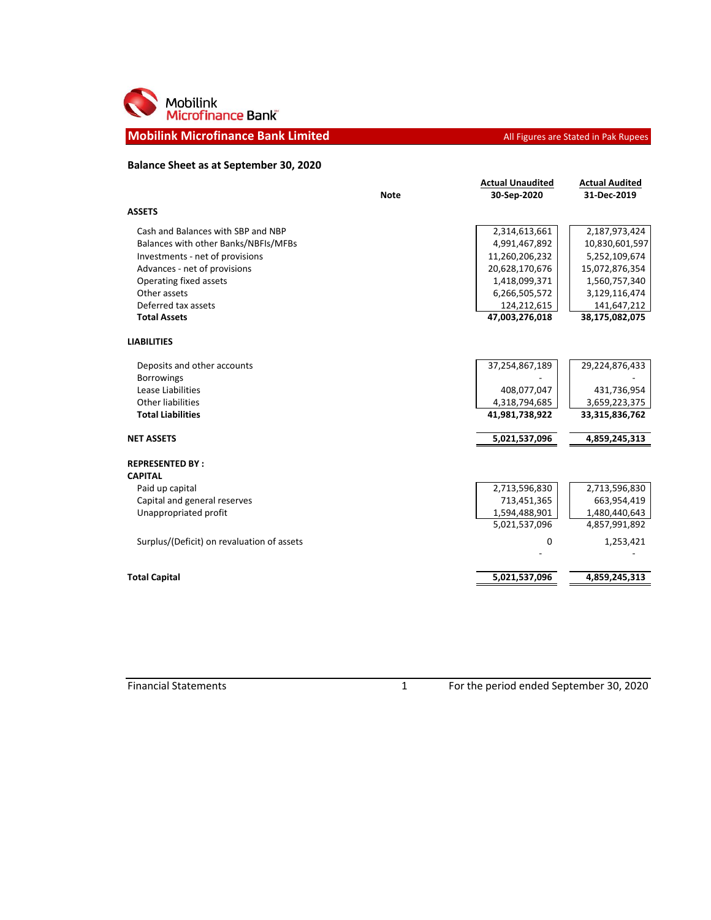

## **Mobilink Microfinance Bank Limited All Figures are Stated in Pak Rupees**

## **Balance Sheet as at September 30, 2020**

|                                            | <b>Note</b> | <b>Actual Unaudited</b><br>30-Sep-2020 | <b>Actual Audited</b><br>31-Dec-2019 |
|--------------------------------------------|-------------|----------------------------------------|--------------------------------------|
| <b>ASSETS</b>                              |             |                                        |                                      |
| Cash and Balances with SBP and NBP         |             | 2,314,613,661                          | 2,187,973,424                        |
| Balances with other Banks/NBFIs/MFBs       |             | 4,991,467,892                          | 10,830,601,597                       |
| Investments - net of provisions            |             | 11,260,206,232                         | 5,252,109,674                        |
| Advances - net of provisions               |             | 20,628,170,676                         | 15,072,876,354                       |
| Operating fixed assets                     |             | 1,418,099,371                          | 1,560,757,340                        |
| Other assets                               |             | 6,266,505,572                          | 3,129,116,474                        |
| Deferred tax assets                        |             | 124,212,615                            | 141,647,212                          |
| <b>Total Assets</b>                        |             | 47,003,276,018                         | 38,175,082,075                       |
| <b>LIABILITIES</b>                         |             |                                        |                                      |
| Deposits and other accounts                |             | 37,254,867,189                         | 29,224,876,433                       |
| <b>Borrowings</b>                          |             |                                        |                                      |
| Lease Liabilities                          |             | 408,077,047                            | 431,736,954                          |
| Other liabilities                          |             | 4,318,794,685                          | 3,659,223,375                        |
| <b>Total Liabilities</b>                   |             | 41,981,738,922                         | 33,315,836,762                       |
| <b>NET ASSETS</b>                          |             | 5,021,537,096                          | 4,859,245,313                        |
| <b>REPRESENTED BY:</b>                     |             |                                        |                                      |
| <b>CAPITAL</b>                             |             |                                        |                                      |
| Paid up capital                            |             | 2,713,596,830                          | 2,713,596,830                        |
| Capital and general reserves               |             | 713,451,365                            | 663,954,419                          |
| Unappropriated profit                      |             | 1,594,488,901                          | 1,480,440,643                        |
|                                            |             | 5,021,537,096                          | 4,857,991,892                        |
| Surplus/(Deficit) on revaluation of assets |             | 0                                      | 1,253,421                            |
|                                            |             |                                        |                                      |
| <b>Total Capital</b>                       |             | 5,021,537,096                          | 4,859,245,313                        |

Financial Statements 1 For the period ended September 30, 2020